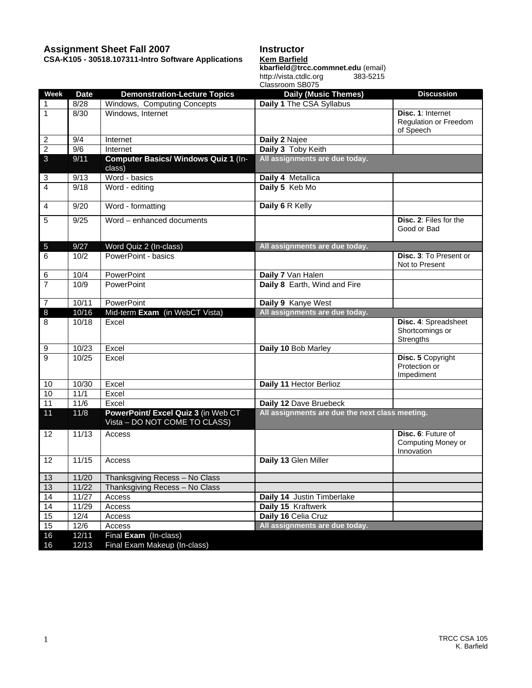# **Assignment Sheet Fall 2007**

**CSA-K105 - 30518.107311-Intro Software Applications** 

# **Instructor**

**Kem Barfield kbarfield@trcc.commnet.edu** (email) http://vista.ctdlc.org 383-5215 http://vista.ctdlc.org<br>Classroom SB075

| Week             | <b>Date</b>   | <b>Demonstration-Lecture Topics</b>                                  | UI JOULI JOURN<br><b>Daily (Music Themes)</b>   | <b>Discussion</b>                                             |
|------------------|---------------|----------------------------------------------------------------------|-------------------------------------------------|---------------------------------------------------------------|
| 1                | 8/28          | Windows, Computing Concepts                                          | Daily 1 The CSA Syllabus                        |                                                               |
| $\overline{1}$   | 8/30          | Windows, Internet                                                    |                                                 | Disc. 1: Internet                                             |
|                  |               |                                                                      |                                                 | Regulation or Freedom<br>of Speech                            |
| $\overline{2}$   | 9/4           | Internet                                                             | Daily 2 Najee                                   |                                                               |
| $\overline{2}$   | 9/6           | Internet                                                             | Daily 3 Toby Keith                              |                                                               |
| $\mathbf{3}$     | 9/11          | Computer Basics/ Windows Quiz 1 (In-<br>class)                       | All assignments are due today.                  |                                                               |
| 3                | 9/13          | Word - basics                                                        | Daily 4 Metallica                               |                                                               |
| $\overline{4}$   | 9/18          | Word - editing                                                       | Daily 5 Keb Mo                                  |                                                               |
| $\overline{4}$   | 9/20          | Word - formatting                                                    | Daily 6 R Kelly                                 |                                                               |
| $\overline{5}$   | 9/25          | Word - enhanced documents                                            |                                                 | Disc. 2: Files for the<br>Good or Bad                         |
| $\overline{5}$   | 9/27          | Word Quiz 2 (In-class)                                               | All assignments are due today.                  |                                                               |
| 6                | 10/2          | PowerPoint - basics                                                  |                                                 | Disc. 3: To Present or<br>Not to Present                      |
| 6                | 10/4          | PowerPoint                                                           | Daily 7 Van Halen                               |                                                               |
| $\overline{7}$   | 10/9          | PowerPoint                                                           | Daily 8 Earth, Wind and Fire                    |                                                               |
| $\overline{7}$   | 10/11         | PowerPoint                                                           | Daily 9 Kanye West                              |                                                               |
| $\bf 8$          | 10/16         | Mid-term Exam (in WebCT Vista)                                       | All assignments are due today.                  |                                                               |
| $\, 8$           | 10/18         | Excel                                                                |                                                 | Disc. 4: Spreadsheet<br>Shortcomings or<br>Strengths          |
| $\boldsymbol{9}$ | 10/23         | Excel                                                                | Daily 10 Bob Marley                             |                                                               |
| $\overline{9}$   | 10/25         | Excel                                                                |                                                 | Disc. 5 Copyright<br>Protection or<br>Impediment              |
| 10               | 10/30         | Excel                                                                | Daily 11 Hector Berlioz                         |                                                               |
| 10               | 11/1          | Excel                                                                |                                                 |                                                               |
| $\overline{11}$  | $11/6$        | Excel                                                                | Daily 12 Dave Bruebeck                          |                                                               |
| 11               | 11/8          | PowerPoint/ Excel Quiz 3 (in Web CT<br>Vista - DO NOT COME TO CLASS) | All assignments are due the next class meeting. |                                                               |
| 12               | 11/13         | Access                                                               |                                                 | Disc. 6: Future of<br><b>Computing Money or</b><br>Innovation |
| 12               | 11/15         | Access                                                               | Daily 13 Glen Miller                            |                                                               |
| 13               | 11/20         | Thanksgiving Recess - No Class                                       |                                                 |                                                               |
| 13               | 11/22         | Thanksgiving Recess - No Class                                       |                                                 |                                                               |
| 14               | 11/27         | Access                                                               | Daily 14 Justin Timberlake                      |                                                               |
| 14               | 11/29         | Access                                                               | Daily 15 Kraftwerk                              |                                                               |
| 15               | 12/4          | Access                                                               | Daily 16 Celia Cruz                             |                                                               |
| 15               |               | Access                                                               | All assignments are due today.                  |                                                               |
| 16               | 12/6<br>12/11 | Final Exam (In-class)                                                |                                                 |                                                               |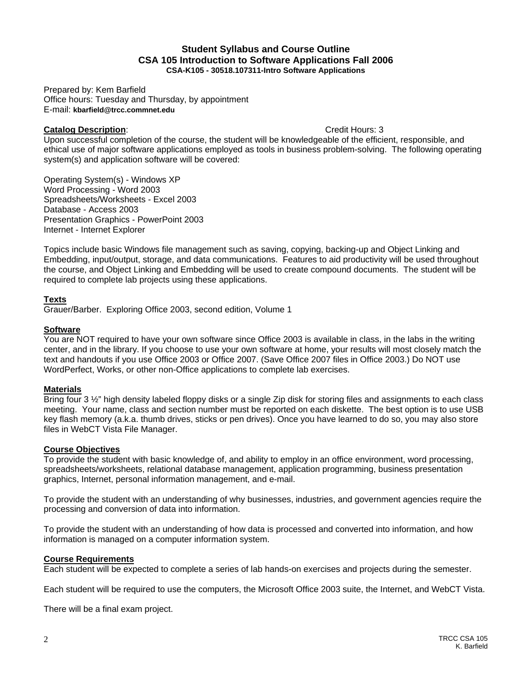# **Student Syllabus and Course Outline CSA 105 Introduction to Software Applications Fall 2006 CSA-K105 - 30518.107311-Intro Software Applications**

Prepared by: Kem Barfield Office hours: Tuesday and Thursday, by appointment E-mail: **kbarfield@trcc.commnet.edu**

# **Catalog Description:** Credit Hours: 3

Upon successful completion of the course, the student will be knowledgeable of the efficient, responsible, and ethical use of major software applications employed as tools in business problem-solving. The following operating system(s) and application software will be covered:

Operating System(s) - Windows XP Word Processing - Word 2003 Spreadsheets/Worksheets - Excel 2003 Database - Access 2003 Presentation Graphics - PowerPoint 2003 Internet - Internet Explorer

Topics include basic Windows file management such as saving, copying, backing-up and Object Linking and Embedding, input/output, storage, and data communications. Features to aid productivity will be used throughout the course, and Object Linking and Embedding will be used to create compound documents. The student will be required to complete lab projects using these applications.

# **Texts**

Grauer/Barber. Exploring Office 2003, second edition, Volume 1

# **Software**

You are NOT required to have your own software since Office 2003 is available in class, in the labs in the writing center, and in the library. If you choose to use your own software at home, your results will most closely match the text and handouts if you use Office 2003 or Office 2007. (Save Office 2007 files in Office 2003.) Do NOT use WordPerfect, Works, or other non-Office applications to complete lab exercises.

# **Materials**

Bring four 3  $\frac{1}{2}$ " high density labeled floppy disks or a single Zip disk for storing files and assignments to each class meeting. Your name, class and section number must be reported on each diskette. The best option is to use USB key flash memory (a.k.a. thumb drives, sticks or pen drives). Once you have learned to do so, you may also store files in WebCT Vista File Manager.

# **Course Objectives**

To provide the student with basic knowledge of, and ability to employ in an office environment, word processing, spreadsheets/worksheets, relational database management, application programming, business presentation graphics, Internet, personal information management, and e-mail.

To provide the student with an understanding of why businesses, industries, and government agencies require the processing and conversion of data into information.

To provide the student with an understanding of how data is processed and converted into information, and how information is managed on a computer information system.

# **Course Requirements**

Each student will be expected to complete a series of lab hands-on exercises and projects during the semester.

Each student will be required to use the computers, the Microsoft Office 2003 suite, the Internet, and WebCT Vista.

There will be a final exam project.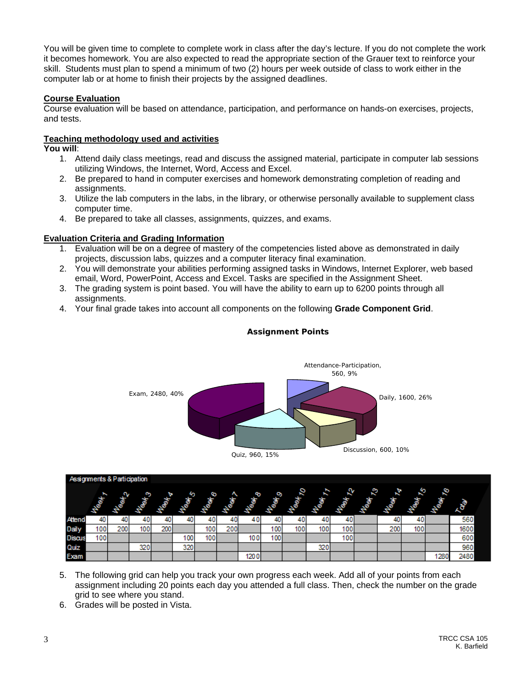You will be given time to complete to complete work in class after the day's lecture. If you do not complete the work it becomes homework. You are also expected to read the appropriate section of the Grauer text to reinforce your skill. Students must plan to spend a minimum of two (2) hours per week outside of class to work either in the computer lab or at home to finish their projects by the assigned deadlines.

# **Course Evaluation**

Course evaluation will be based on attendance, participation, and performance on hands-on exercises, projects, and tests.

# **Teaching methodology used and activities**

**You will**:

- 1. Attend daily class meetings, read and discuss the assigned material, participate in computer lab sessions utilizing Windows, the Internet, Word, Access and Excel.
- 2. Be prepared to hand in computer exercises and homework demonstrating completion of reading and assignments.
- 3. Utilize the lab computers in the labs, in the library, or otherwise personally available to supplement class computer time.
- 4. Be prepared to take all classes, assignments, quizzes, and exams.

# **Evaluation Criteria and Grading Information**

- 1. Evaluation will be on a degree of mastery of the competencies listed above as demonstrated in daily projects, discussion labs, quizzes and a computer literacy final examination.
- 2. You will demonstrate your abilities performing assigned tasks in Windows, Internet Explorer, web based email, Word, PowerPoint, Access and Excel. Tasks are specified in the Assignment Sheet.
- 3. The grading system is point based. You will have the ability to earn up to 6200 points through all assignments.
- 4. Your final grade takes into account all components on the following **Grade Component Grid**.



# **Assignment Points**

|               | Assignments & Participation |                 |        |                 |                  |                  |     |                   |                  |                     |                         |                  |              |               |                             |              |      |  |
|---------------|-----------------------------|-----------------|--------|-----------------|------------------|------------------|-----|-------------------|------------------|---------------------|-------------------------|------------------|--------------|---------------|-----------------------------|--------------|------|--|
|               | ×<br>Mook                   | <b>SOF</b><br>æ | ო<br>æ | ъ<br><b>RAB</b> | 4<br>F<br>÷<br>- | ø<br>.S<br>-     | æ   | 9<br>के<br>œ<br>æ | ο<br><b>HOOK</b> | 2<br>ਨੋਂ<br>८०<br>s | <b>The State</b><br>Age | Ω<br>È<br>æ      | చి<br>F<br>æ | Ø<br>∾<br>- 3 | ۵<br>∼<br>a,<br>æ<br>÷<br>÷ | ø,<br>F<br>æ | Log  |  |
| Attend        | 40                          | 40              | 40     | 40              | 40               | 40               | 40  | 40                | 40               | 40                  | 40                      | 40               |              | 40            | 40                          |              | 560  |  |
| Daily         | 100                         | 200             | 100    | 200             |                  | 100 <sub>1</sub> | 200 |                   | 100              | 100                 | 100                     | 100 <sub>h</sub> |              | 200           | 100                         |              | 1600 |  |
| <b>Discus</b> | 100                         |                 |        |                 | 100              | 100              |     | 100               | 100              |                     |                         | 100              |              |               |                             |              | 600  |  |
| Quiz          |                             |                 | 320    |                 | 320              |                  |     |                   |                  |                     | 320                     |                  |              |               |                             |              | 960  |  |
| Exam          |                             |                 |        |                 |                  |                  |     | 1200              |                  |                     |                         |                  |              |               |                             | /280         | 2480 |  |

- 5. The following grid can help you track your own progress each week. Add all of your points from each assignment including 20 points each day you attended a full class. Then, check the number on the grade grid to see where you stand.
- 6. Grades will be posted in Vista.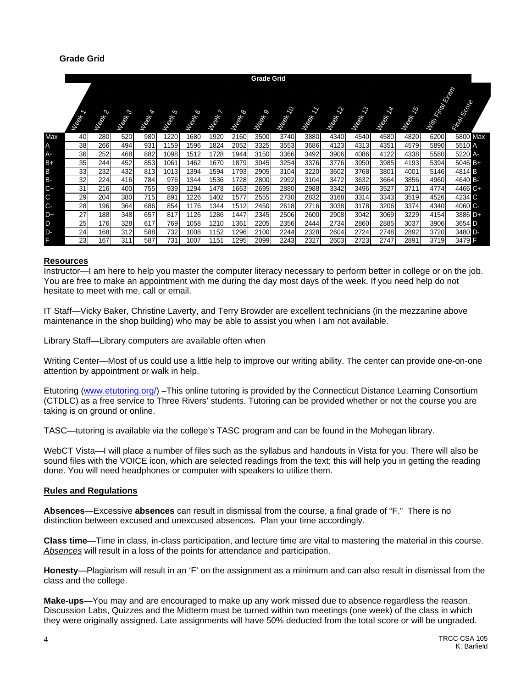#### **Grade Grid**

|                | <b>Grade Grid</b>                       |                         |                  |                  |                                            |                   |                                           |                |         |                              |                               |                                     |                              |                                   |                         |                                                                                                                      |                   |  |
|----------------|-----------------------------------------|-------------------------|------------------|------------------|--------------------------------------------|-------------------|-------------------------------------------|----------------|---------|------------------------------|-------------------------------|-------------------------------------|------------------------------|-----------------------------------|-------------------------|----------------------------------------------------------------------------------------------------------------------|-------------------|--|
|                |                                         |                         |                  |                  |                                            |                   |                                           |                |         |                              |                               |                                     |                              |                                   |                         |                                                                                                                      |                   |  |
|                | $\overline{\phantom{0}}$<br><b>Meat</b> | $\gamma$<br><b>ROOM</b> | c<br><b>Rest</b> | Þ<br><b>Mean</b> | $\mathcal{L}_{\mathcal{D}}$<br><b>Meat</b> | 6<br><b>Death</b> | $\boldsymbol{\mathcal{N}}$<br><b>MOOK</b> | <b>Meeting</b> | Meeting | $\mathcal{S}$<br><b>Meat</b> | $\overline{z}$<br><b>Mook</b> | $\mathcal{L}$<br><b>Destruction</b> | $\mathcal{E}$<br><b>Rest</b> | $\mathbf{z}$<br><b>Restaurant</b> | <b>K</b><br><b>Mean</b> | <b>Contract Contract Contract Contract Contract Contract Contract Contract Contract Contract Contract Contract C</b> | <b>READERS</b>    |  |
| Max            | 40                                      | 280                     | 520              | 980              | 220                                        | 1680              | 1920                                      | 2160           | 3500    | 3740                         | 3880                          | 4340                                | 4540                         | 4580                              | 4820                    | 6200                                                                                                                 | 5800 Max          |  |
| $\overline{A}$ | 38                                      | 266                     | 494              | 931              | 159                                        | 1596              | 1824                                      | 2052           | 3325    | 3553                         | 3686                          | 4123                                | 4313                         | 4351                              | 4579                    | 5890                                                                                                                 | 5510 <sup>A</sup> |  |
| A-             | 36                                      | 252                     | 468              | 882              | 1098                                       | 1512              | 1728                                      | 1944           | 3150    | 3366                         | 3492                          | 3906                                | 4086                         | 4122                              | 4338                    | 5580                                                                                                                 | 5220 A-           |  |
| $B+$           | 35                                      | 244                     | 452              | 853              | 1061                                       | 1462              | 1670                                      | 1879           | 3045    | 3254                         | 3376                          | 3776                                | 3950                         | 3985                              | 4193                    | 5394                                                                                                                 | 5046 B+           |  |
| B              | 33                                      | 232                     | 432              | 813              | 10131                                      | 1394              | 1594                                      | 1793           | 2905    | 3104                         | 3220                          | 3602                                | 3768                         | 3801                              | 4001                    | 5146                                                                                                                 | $4814$ B          |  |
| <b>B-</b>      | 32                                      | 224                     | 416              | 784              | 976                                        | 1344              | 1536                                      | 1728           | 2800    | 2992                         | 3104                          | 3472                                | 3632                         | 3664                              | 3856                    | 4960                                                                                                                 | 4640 <sub>B</sub> |  |
| $C+$           | 31                                      | 216                     | 400              | 755              | 939                                        | 1294              | 1478                                      | 1663           | 2695    | 2880                         | 2988                          | 3342                                | 3496                         | 3527                              | 3711                    | 4774                                                                                                                 | 4466 C+           |  |
| C              | 29                                      | 204                     | 380              | 715              | 891                                        | 1226              | 1402                                      | 1577           | 2555    | 2730                         | 2832                          | 3168                                | 3314                         | 3343                              | 3519                    | 4526                                                                                                                 | 4234 C            |  |
| $C -$          | 28                                      | 196                     | 364              | 686              | 854                                        | 1176              | 1344                                      | 1512           | 2450    | 2618                         | 2716                          | 3038                                | 3178                         | 3206                              | 3374                    | 4340                                                                                                                 | 4060 C            |  |
| D+             | 27                                      | 188                     | 348              | 657              | 817                                        | 1126              | 1286                                      | 1447           | 2345    | 2506                         | 2600                          | 2908                                | 3042                         | 3069                              | 3229                    | 4154                                                                                                                 | 3886 D+           |  |
| D              | 25                                      | 176                     | 328              | 617              | 769                                        | 1058              | 1210                                      | 1361           | 2205    | 2356                         | 2444                          | 2734                                | 2860                         | 2885                              | 3037                    | 3906                                                                                                                 | 3654D             |  |
| D-             | 24                                      | 168                     | 312              | 588              | 732                                        | 1008              | 1152                                      | 1296           | 2100    | 2244                         | 2328                          | 2604                                | 2724                         | 2748                              | 2892                    | 3720                                                                                                                 | 3480 <sub>D</sub> |  |
| F              | 23                                      | 167                     | 311              | 587              | 731                                        | 1007              | 1151                                      | 1295           | 2099    | 2243                         | 2327                          | 2603                                | 2723                         | 2747                              | 2891                    | 3719                                                                                                                 | 3479              |  |

#### **Resources**

Instructor—I am here to help you master the computer literacy necessary to perform better in college or on the job. You are free to make an appointment with me during the day most days of the week. If you need help do not hesitate to meet with me, call or email.

IT Staff—Vicky Baker, Christine Laverty, and Terry Browder are excellent technicians (in the mezzanine above maintenance in the shop building) who may be able to assist you when I am not available.

Library Staff—Library computers are available often when

Writing Center—Most of us could use a little help to improve our writing ability. The center can provide one-on-one attention by appointment or walk in help.

Etutoring ([www.etutoring.org/\)](http://www.etutoring.org/) –This online tutoring is provided by the Connecticut Distance Learning Consortium (CTDLC) as a free service to Three Rivers' students. Tutoring can be provided whether or not the course you are taking is on ground or online.

TASC—tutoring is available via the college's TASC program and can be found in the Mohegan library.

WebCT Vista—I will place a number of files such as the syllabus and handouts in Vista for you. There will also be sound files with the VOICE icon, which are selected readings from the text; this will help you in getting the reading done. You will need headphones or computer with speakers to utilize them.

# **Rules and Regulations**

**Absences**—Excessive **absences** can result in dismissal from the course, a final grade of "F." There is no distinction between excused and unexcused absences. Plan your time accordingly.

**Class time**—Time in class, in-class participation, and lecture time are vital to mastering the material in this course. *Absences* will result in a loss of the points for attendance and participation.

**Honesty**—Plagiarism will result in an 'F' on the assignment as a minimum and can also result in dismissal from the class and the college.

**Make-ups**—You may and are encouraged to make up any work missed due to absence regardless the reason. Discussion Labs, Quizzes and the Midterm must be turned within two meetings (one week) of the class in which they were originally assigned. Late assignments will have 50% deducted from the total score or will be ungraded.